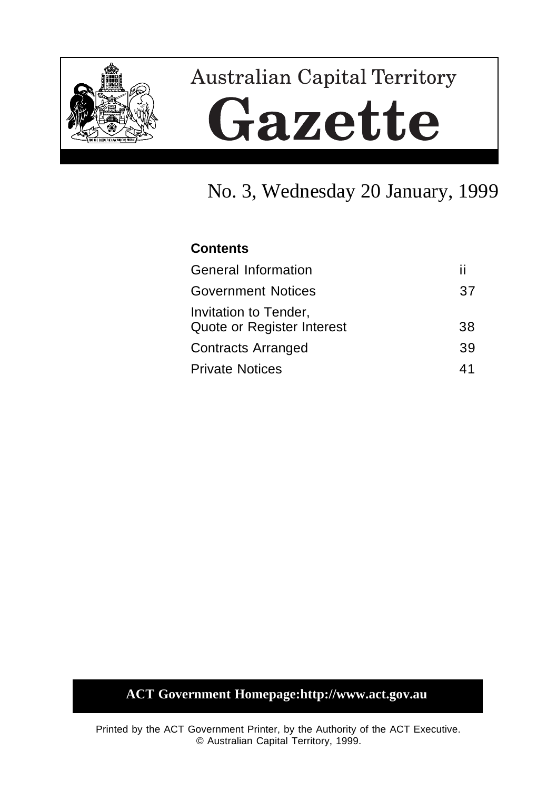

# **Australian Capital Territory** Gazette

# No. 3, Wednesday 20 January, 1999

### **Contents**

| General Information                                 | п  |
|-----------------------------------------------------|----|
| <b>Government Notices</b>                           | 37 |
| Invitation to Tender,<br>Quote or Register Interest | 38 |
| <b>Contracts Arranged</b>                           | 39 |
| <b>Private Notices</b>                              | 41 |

## **ACT Government Homepage:http://www.act.gov.au**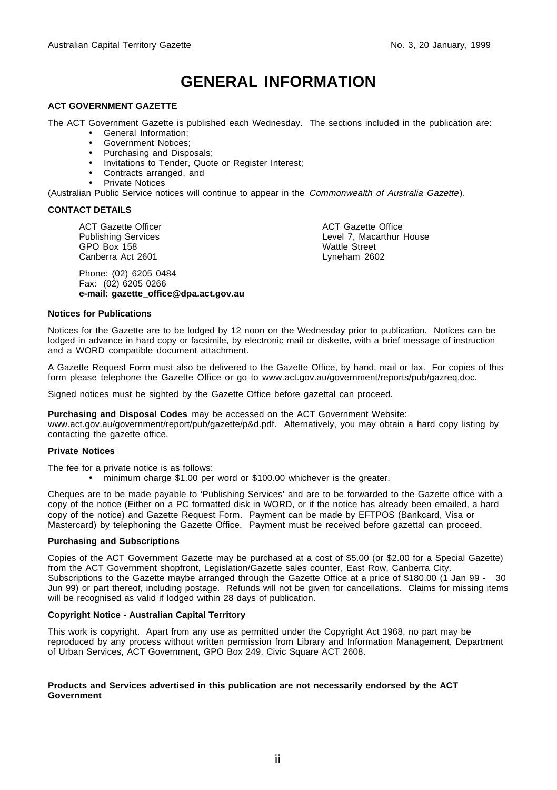# **GENERAL INFORMATION**

#### **ACT GOVERNMENT GAZETTE**

The ACT Government Gazette is published each Wednesday. The sections included in the publication are:

- General Information;
- Government Notices;
- Purchasing and Disposals;
- Invitations to Tender, Quote or Register Interest;
- Contracts arranged, and
- Private Notices

(Australian Public Service notices will continue to appear in the Commonwealth of Australia Gazette).

#### **CONTACT DETAILS**

ACT Gazette Officer Publishing Services GPO Box 158 Canberra Act 2601

Phone: (02) 6205 0484 Fax: (02) 6205 0266 **e-mail: gazette\_office@dpa.act.gov.au** ACT Gazette Office Level 7, Macarthur House Wattle Street Lyneham 2602

#### **Notices for Publications**

Notices for the Gazette are to be lodged by 12 noon on the Wednesday prior to publication. Notices can be lodged in advance in hard copy or facsimile, by electronic mail or diskette, with a brief message of instruction and a WORD compatible document attachment.

A Gazette Request Form must also be delivered to the Gazette Office, by hand, mail or fax. For copies of this form please telephone the Gazette Office or go to www.act.gov.au/government/reports/pub/gazreq.doc.

Signed notices must be sighted by the Gazette Office before gazettal can proceed.

**Purchasing and Disposal Codes** may be accessed on the ACT Government Website:

www.act.gov.au/government/report/pub/gazette/p&d.pdf. Alternatively, you may obtain a hard copy listing by contacting the gazette office.

#### **Private Notices**

The fee for a private notice is as follows:

• minimum charge \$1.00 per word or \$100.00 whichever is the greater.

Cheques are to be made payable to 'Publishing Services' and are to be forwarded to the Gazette office with a copy of the notice (Either on a PC formatted disk in WORD, or if the notice has already been emailed, a hard copy of the notice) and Gazette Request Form. Payment can be made by EFTPOS (Bankcard, Visa or Mastercard) by telephoning the Gazette Office. Payment must be received before gazettal can proceed.

#### **Purchasing and Subscriptions**

Copies of the ACT Government Gazette may be purchased at a cost of \$5.00 (or \$2.00 for a Special Gazette) from the ACT Government shopfront, Legislation/Gazette sales counter, East Row, Canberra City. Subscriptions to the Gazette maybe arranged through the Gazette Office at a price of \$180.00 (1 Jan 99 - 30 Jun 99) or part thereof, including postage. Refunds will not be given for cancellations. Claims for missing items will be recognised as valid if lodged within 28 days of publication.

#### **Copyright Notice - Australian Capital Territory**

This work is copyright. Apart from any use as permitted under the Copyright Act 1968, no part may be reproduced by any process without written permission from Library and Information Management, Department of Urban Services, ACT Government, GPO Box 249, Civic Square ACT 2608.

#### **Products and Services advertised in this publication are not necessarily endorsed by the ACT Government**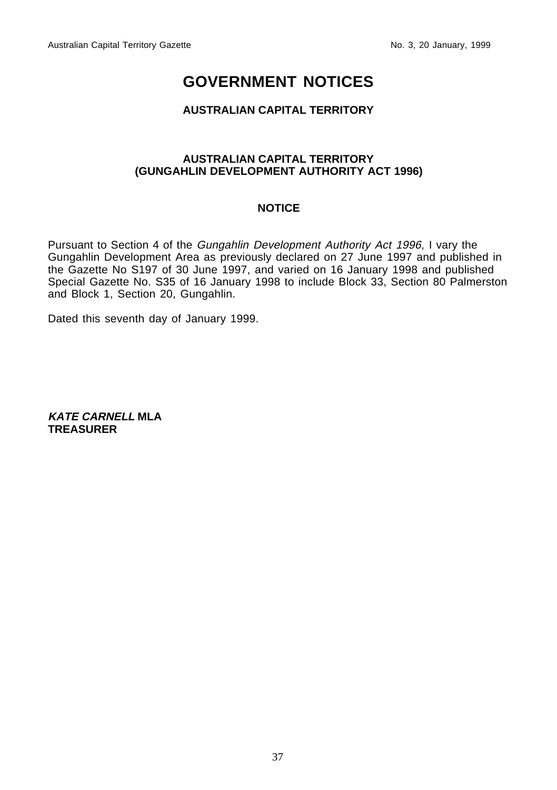## **GOVERNMENT NOTICES**

#### **AUSTRALIAN CAPITAL TERRITORY**

#### **AUSTRALIAN CAPITAL TERRITORY (GUNGAHLIN DEVELOPMENT AUTHORITY ACT 1996)**

#### **NOTICE**

Pursuant to Section 4 of the Gungahlin Development Authority Act 1996, I vary the Gungahlin Development Area as previously declared on 27 June 1997 and published in the Gazette No S197 of 30 June 1997, and varied on 16 January 1998 and published Special Gazette No. S35 of 16 January 1998 to include Block 33, Section 80 Palmerston and Block 1, Section 20, Gungahlin.

Dated this seventh day of January 1999.

**KATE CARNELL MLA TREASURER**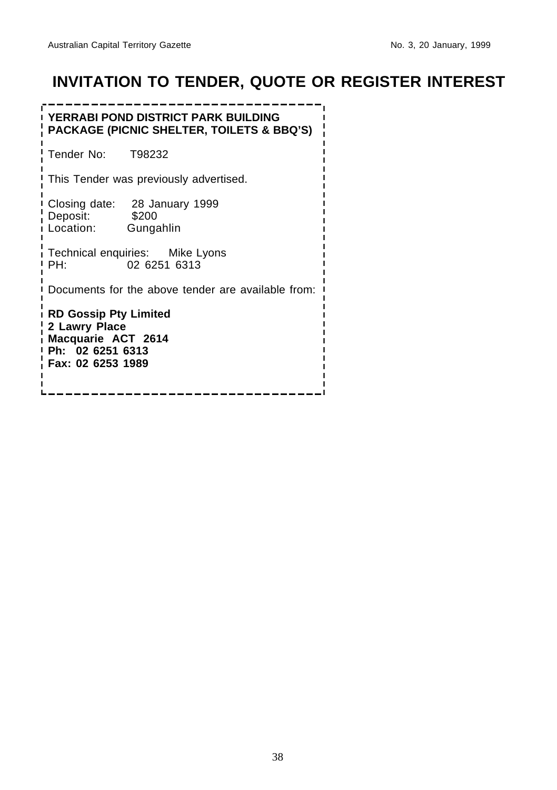# **INVITATION TO TENDER, QUOTE OR REGISTER INTEREST**

**YERRABI POND DISTRICT PARK BUILDING PACKAGE (PICNIC SHELTER, TOILETS & BBQ'S)** Tender No: T98232 This Tender was previously advertised. Closing date: 28 January 1999 Deposit: \$200<br>Location: Gunga Gungahlin Technical enquiries: Mike Lyons<br>PH: 02 6251 6313 02 6251 6313 Documents for the above tender are available from: **RD Gossip Pty Limited 2 Lawry Place Macquarie ACT 2614 Ph: 02 6251 6313 Fax: 02 6253 1989**----------------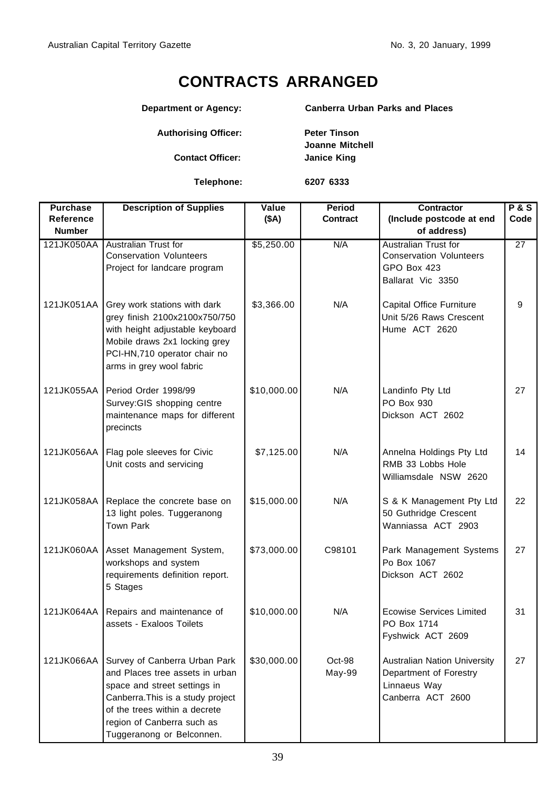# **CONTRACTS ARRANGED**

#### **Department or Agency: Canberra Urban Parks and Places**

Authorising Officer: Peter Tinson

**Contact Officer: Janice King**

**Joanne Mitchell**

**Telephone: 6207 6333**

| <b>Purchase</b> | <b>Description of Supplies</b>                                                                                                                                                                                                    | Value       | Period             | <b>Contractor</b>                                                                                  | <b>P&amp;S</b>  |
|-----------------|-----------------------------------------------------------------------------------------------------------------------------------------------------------------------------------------------------------------------------------|-------------|--------------------|----------------------------------------------------------------------------------------------------|-----------------|
| Reference       |                                                                                                                                                                                                                                   | (SA)        | Contract           | (Include postcode at end                                                                           | Code            |
| <b>Number</b>   |                                                                                                                                                                                                                                   |             |                    | of address)                                                                                        |                 |
| 121JK050AA      | Australian Trust for<br><b>Conservation Volunteers</b><br>Project for landcare program                                                                                                                                            | \$5,250.00  | N/A                | Australian Trust for<br><b>Conservation Volunteers</b><br>GPO Box 423<br>Ballarat Vic 3350         | $\overline{27}$ |
| 121JK051AA      | Grey work stations with dark<br>grey finish 2100x2100x750/750<br>with height adjustable keyboard<br>Mobile draws 2x1 locking grey<br>PCI-HN,710 operator chair no<br>arms in grey wool fabric                                     | \$3,366.00  | N/A                | Capital Office Furniture<br>Unit 5/26 Raws Crescent<br>Hume ACT 2620                               | 9               |
| 121JK055AA      | Period Order 1998/99<br>Survey: GIS shopping centre<br>maintenance maps for different<br>precincts                                                                                                                                | \$10,000.00 | N/A                | Landinfo Pty Ltd<br>PO Box 930<br>Dickson ACT 2602                                                 | 27              |
| 121JK056AA      | Flag pole sleeves for Civic<br>Unit costs and servicing                                                                                                                                                                           | \$7,125.00  | N/A                | Annelna Holdings Pty Ltd<br>RMB 33 Lobbs Hole<br>Williamsdale NSW 2620                             | 14              |
| 121JK058AA      | Replace the concrete base on<br>13 light poles. Tuggeranong<br><b>Town Park</b>                                                                                                                                                   | \$15,000.00 | N/A                | S & K Management Pty Ltd<br>50 Guthridge Crescent<br>Wanniassa ACT 2903                            | 22              |
| 121JK060AA      | Asset Management System,<br>workshops and system<br>requirements definition report.<br>5 Stages                                                                                                                                   | \$73,000.00 | C98101             | Park Management Systems<br>Po Box 1067<br>Dickson ACT 2602                                         | 27              |
| 121JK064AA      | Repairs and maintenance of<br>assets - Exaloos Toilets                                                                                                                                                                            | \$10,000.00 | N/A                | <b>Ecowise Services Limited</b><br>PO Box 1714<br>Fyshwick ACT 2609                                | 31              |
| 121JK066AA      | Survey of Canberra Urban Park<br>and Places tree assets in urban<br>space and street settings in<br>Canberra. This is a study project<br>of the trees within a decrete<br>region of Canberra such as<br>Tuggeranong or Belconnen. | \$30,000.00 | $Oct-98$<br>May-99 | <b>Australian Nation University</b><br>Department of Forestry<br>Linnaeus Way<br>Canberra ACT 2600 | 27              |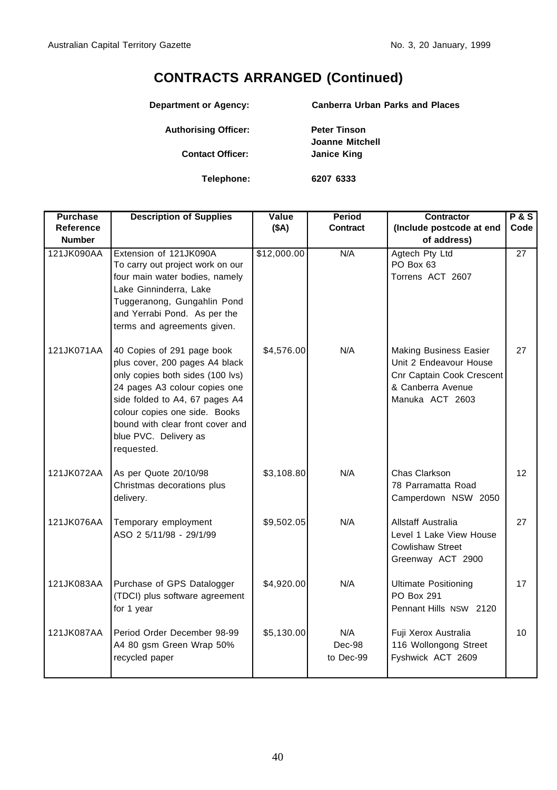## **CONTRACTS ARRANGED (Continued)**

**Department or Agency: Canberra Urban Parks and Places**

Authorising Officer: Peter Tinson

**Contact Officer: Janice King**

**Joanne Mitchell**

**Telephone: 6207 6333**

| <b>Purchase</b>            | <b>Description of Supplies</b>                                                                                                                                                                                                                                                  | Value       | Period                     | <b>Contractor</b>                                                                                                                   | <b>P&amp;S</b> |
|----------------------------|---------------------------------------------------------------------------------------------------------------------------------------------------------------------------------------------------------------------------------------------------------------------------------|-------------|----------------------------|-------------------------------------------------------------------------------------------------------------------------------------|----------------|
| Reference<br><b>Number</b> |                                                                                                                                                                                                                                                                                 | (SA)        | <b>Contract</b>            | (Include postcode at end<br>of address)                                                                                             | Code           |
| 121JK090AA                 | Extension of 121JK090A<br>To carry out project work on our<br>four main water bodies, namely<br>Lake Ginninderra, Lake<br>Tuggeranong, Gungahlin Pond<br>and Yerrabi Pond. As per the<br>terms and agreements given.                                                            | \$12,000.00 | N/A                        | Agtech Pty Ltd<br>PO Box 63<br>Torrens ACT 2607                                                                                     | 27             |
| 121JK071AA                 | 40 Copies of 291 page book<br>plus cover, 200 pages A4 black<br>only copies both sides (100 lvs)<br>24 pages A3 colour copies one<br>side folded to A4, 67 pages A4<br>colour copies one side. Books<br>bound with clear front cover and<br>blue PVC. Delivery as<br>requested. | \$4,576.00  | N/A                        | <b>Making Business Easier</b><br>Unit 2 Endeavour House<br><b>Cnr Captain Cook Crescent</b><br>& Canberra Avenue<br>Manuka ACT 2603 | 27             |
| 121JK072AA                 | As per Quote 20/10/98<br>Christmas decorations plus<br>delivery.                                                                                                                                                                                                                | \$3,108.80  | N/A                        | Chas Clarkson<br>78 Parramatta Road<br>Camperdown NSW 2050                                                                          | 12             |
| 121JK076AA                 | Temporary employment<br>ASO 2 5/11/98 - 29/1/99                                                                                                                                                                                                                                 | \$9,502.05  | N/A                        | <b>Allstaff Australia</b><br>Level 1 Lake View House<br><b>Cowlishaw Street</b><br>Greenway ACT 2900                                | 27             |
| 121JK083AA                 | Purchase of GPS Datalogger<br>(TDCI) plus software agreement<br>for 1 year                                                                                                                                                                                                      | \$4,920.00  | N/A                        | <b>Ultimate Positioning</b><br>PO Box 291<br>Pennant Hills NSW 2120                                                                 | 17             |
| 121JK087AA                 | Period Order December 98-99<br>A4 80 gsm Green Wrap 50%<br>recycled paper                                                                                                                                                                                                       | \$5,130.00  | N/A<br>Dec-98<br>to Dec-99 | Fuji Xerox Australia<br>116 Wollongong Street<br>Fyshwick ACT 2609                                                                  | 10             |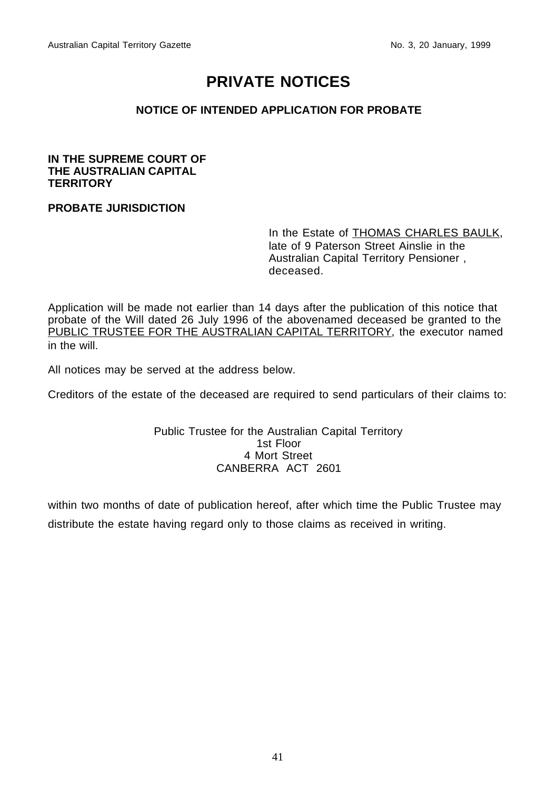# **PRIVATE NOTICES**

#### **NOTICE OF INTENDED APPLICATION FOR PROBATE**

#### **IN THE SUPREME COURT OF THE AUSTRALIAN CAPITAL TERRITORY**

#### **PROBATE JURISDICTION**

In the Estate of THOMAS CHARLES BAULK, late of 9 Paterson Street Ainslie in the Australian Capital Territory Pensioner , deceased.

Application will be made not earlier than 14 days after the publication of this notice that probate of the Will dated 26 July 1996 of the abovenamed deceased be granted to the PUBLIC TRUSTEE FOR THE AUSTRALIAN CAPITAL TERRITORY , the executor named in the will.

All notices may be served at the address below.

Creditors of the estate of the deceased are required to send particulars of their claims to:

Public Trustee for the Australian Capital Territory 1st Floor 4 Mort Street CANBERRA ACT 2601

within two months of date of publication hereof, after which time the Public Trustee may distribute the estate having regard only to those claims as received in writing.